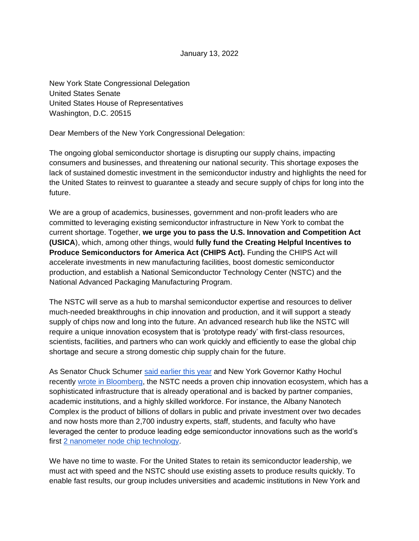January 13, 2022

New York State Congressional Delegation United States Senate United States House of Representatives Washington, D.C. 20515

Dear Members of the New York Congressional Delegation:

The ongoing global semiconductor shortage is disrupting our supply chains, impacting consumers and businesses, and threatening our national security. This shortage exposes the lack of sustained domestic investment in the semiconductor industry and highlights the need for the United States to reinvest to guarantee a steady and secure supply of chips for long into the future.

We are a group of academics, businesses, government and non-profit leaders who are committed to leveraging existing semiconductor infrastructure in New York to combat the current shortage. Together, **we urge you to pass the U.S. Innovation and Competition Act (USICA**), which, among other things, would **fully fund the Creating Helpful Incentives to Produce Semiconductors for America Act (CHIPS Act).** Funding the CHIPS Act will accelerate investments in new manufacturing facilities, boost domestic semiconductor production, and establish a National Semiconductor Technology Center (NSTC) and the National Advanced Packaging Manufacturing Program.

The NSTC will serve as a hub to marshal semiconductor expertise and resources to deliver much-needed breakthroughs in chip innovation and production, and it will support a steady supply of chips now and long into the future. An advanced research hub like the NSTC will require a unique innovation ecosystem that is 'prototype ready' with first-class resources, scientists, facilities, and partners who can work quickly and efficiently to ease the global chip shortage and secure a strong domestic chip supply chain for the future.

As Senator Chuck Schumer [said earlier this year](https://www.schumer.senate.gov/newsroom/press-releases/schumer-brings-commerce-secretary-gina-raimondo-to-meet-with-ibm-and-other-albany-nanotech-complex-stakeholders_discuss-cutting-edge-semiconductor-rd-happening-in-albany-senator-says-albany-ideal-for-future-national-semiconductor-technology-center-that-would-bring-1000-jobs-to-capital-region) and New York Governor Kathy Hochul recentl[y](https://www.bloomberg.com/opinion/articles/2021-11-24/new-york-congress-can-revive-america-s-microchip-industry?srnd=opinion) [wrote in Bloomberg,](https://www.bloomberg.com/opinion/articles/2021-11-24/new-york-congress-can-revive-america-s-microchip-industry?srnd=opinion) the NSTC needs a proven chip innovation ecosystem, which has a sophisticated infrastructure that is already operational and is backed by partner companies, academic institutions, and a highly skilled workforce. For instance, the Albany Nanotech Complex is the product of billions of dollars in public and private investment over two decades and now hosts more than 2,700 industry experts, staff, students, and faculty who have leveraged the center to produce leading edge semiconductor innovations such as the world's first [2 nanometer node chip technology.](https://newsroom.ibm.com/2021-05-06-IBM-Unveils-Worlds-First-2-Nanometer-Chip-Technology,-Opening-a-New-Frontier-for-Semiconductors)

We have no time to waste. For the United States to retain its semiconductor leadership, we must act with speed and the NSTC should use existing assets to produce results quickly. To enable fast results, our group includes universities and academic institutions in New York and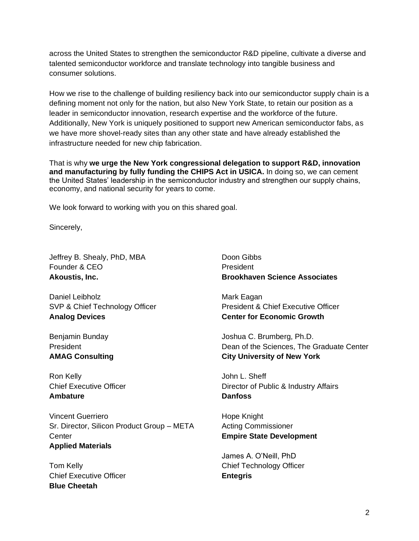across the United States to strengthen the semiconductor R&D pipeline, cultivate a diverse and talented semiconductor workforce and translate technology into tangible business and consumer solutions.

How we rise to the challenge of building resiliency back into our semiconductor supply chain is a defining moment not only for the nation, but also New York State, to retain our position as a leader in semiconductor innovation, research expertise and the workforce of the future. Additionally, New York is uniquely positioned to support new American semiconductor fabs, as we have more shovel-ready sites than any other state and have already established the infrastructure needed for new chip fabrication.

That is why **we urge the New York congressional delegation to support R&D, innovation and manufacturing by fully funding the CHIPS Act in USICA.** In doing so, we can cement the United States' leadership in the semiconductor industry and strengthen our supply chains, economy, and national security for years to come.

We look forward to working with you on this shared goal.

Sincerely,

Jeffrey B. Shealy, PhD, MBA Founder & CEO **Akoustis, Inc.**

Daniel Leibholz SVP & Chief Technology Officer **Analog Devices**

Benjamin Bunday President **AMAG Consulting**

Ron Kelly Chief Executive Officer **Ambature**

Vincent Guerriero Sr. Director, Silicon Product Group – META **Center Applied Materials**

Tom Kelly Chief Executive Officer **Blue Cheetah**

Doon Gibbs President **Brookhaven Science Associates**

Mark Eagan President & Chief Executive Officer **Center for Economic Growth**

Joshua C. Brumberg, Ph.D. Dean of the Sciences, The Graduate Center **City University of New York**

John L. Sheff Director of Public & Industry Affairs **Danfoss**

Hope Knight Acting Commissioner **Empire State Development**

James A. O'Neill, PhD Chief Technology Officer **Entegris**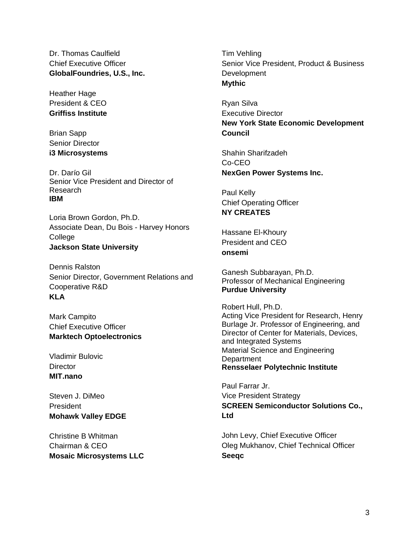Dr. Thomas Caulfield Chief Executive Officer **GlobalFoundries, U.S., Inc.**

Heather Hage President & CEO **Griffiss Institute**

Brian Sapp Senior Director **i3 Microsystems**

Dr. Darío Gil Senior Vice President and Director of Research **IBM** 

Loria Brown Gordon, Ph.D. Associate Dean, Du Bois - Harvey Honors College **Jackson State University**

Dennis Ralston Senior Director, Government Relations and Cooperative R&D **KLA**

Mark Campito Chief Executive Officer **Marktech Optoelectronics** 

Vladimir Bulovic **Director MIT.nano**

Steven J. DiMeo President **Mohawk Valley EDGE** 

Christine B Whitman Chairman & CEO **Mosaic Microsystems LLC** Tim Vehling Senior Vice President, Product & Business **Development Mythic** 

Ryan Silva Executive Director **New York State Economic Development Council** 

Shahin Sharifzadeh Co-CEO **NexGen Power Systems Inc.**

Paul Kelly Chief Operating Officer **NY CREATES**

Hassane El-Khoury President and CEO **onsemi**

Ganesh Subbarayan, Ph.D. Professor of Mechanical Engineering **Purdue University**

Robert Hull, Ph.D. Acting Vice President for Research, Henry Burlage Jr. Professor of Engineering, and Director of Center for Materials, Devices, and Integrated Systems Material Science and Engineering **Department Rensselaer Polytechnic Institute**

Paul Farrar Jr. Vice President Strategy **SCREEN Semiconductor Solutions Co., Ltd**

John Levy, Chief Executive Officer Oleg Mukhanov, Chief Technical Officer **Seeqc**